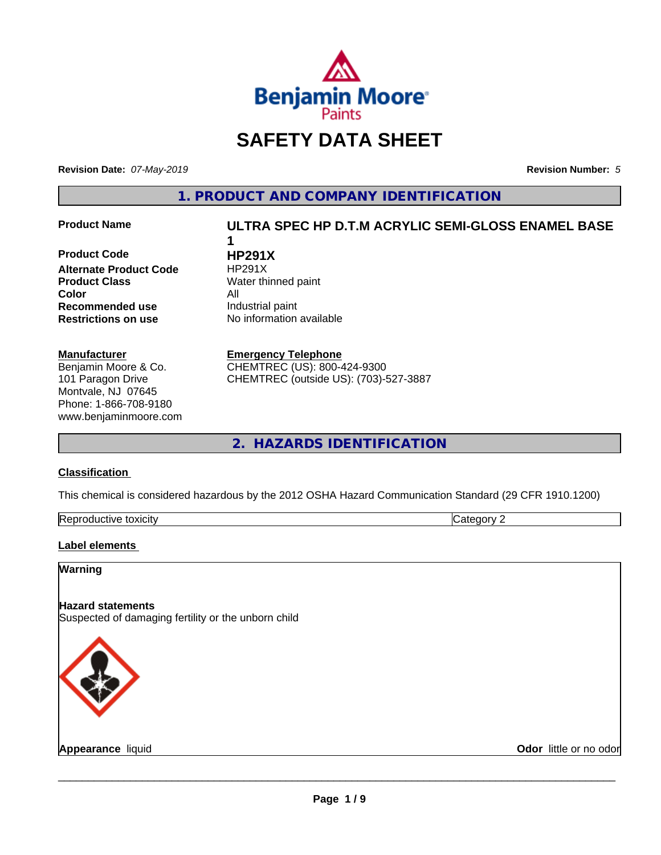

# **SAFETY DATA SHEET**

**Revision Date:** *07-May-2019* **Revision Number:** *5*

**1. PRODUCT AND COMPANY IDENTIFICATION**

**Product Code 
<b>HP291X**<br> **Alternate Product Code** 
HP291X **Alternate Product Code Product Class** Water thinned paint **Color** All **Recommended use** Industrial paint **Restrictions on use** No information available

#### **Manufacturer**

Benjamin Moore & Co. 101 Paragon Drive Montvale, NJ 07645 Phone: 1-866-708-9180 www.benjaminmoore.com

# **Product Name ULTRA SPEC HP D.T.M ACRYLIC SEMI-GLOSS ENAMEL BASE 1**

**Emergency Telephone**

CHEMTREC (US): 800-424-9300 CHEMTREC (outside US): (703)-527-3887

**2. HAZARDS IDENTIFICATION**

#### **Classification**

This chemical is considered hazardous by the 2012 OSHA Hazard Communication Standard (29 CFR 1910.1200)

| -<br>Repr<br>toxicity<br>. GUCTIVE | - - -<br>. זרי<br>.<br> |
|------------------------------------|-------------------------|

#### **Label elements**

### **Warning**

**Hazard statements** Suspected of damaging fertility or the unborn child



**Appearance** liquid **Contract Contract Contract Contract Contract Contract Contract Contract Contract Contract Contract Contract Contract Contract Contract Contract Contract Contract Contract Contract Contract Contract Con**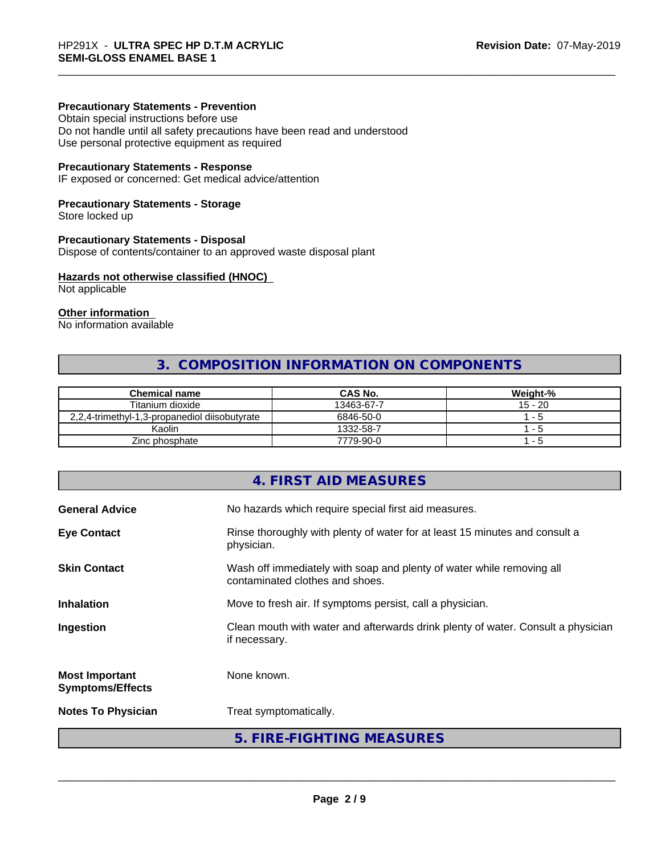#### **Precautionary Statements - Prevention**

Obtain special instructions before use Do not handle until all safety precautions have been read and understood Use personal protective equipment as required

#### **Precautionary Statements - Response**

IF exposed or concerned: Get medical advice/attention

#### **Precautionary Statements - Storage**

Store locked up

#### **Precautionary Statements - Disposal**

Dispose of contents/container to an approved waste disposal plant

#### **Hazards not otherwise classified (HNOC)**

Not applicable

#### **Other information**

No information available

# **3. COMPOSITION INFORMATION ON COMPONENTS**

| <b>Chemical name</b>                          | <b>CAS No.</b> | Weight-%  |
|-----------------------------------------------|----------------|-----------|
| Titanium dioxide                              | 13463-67-7     | $15 - 20$ |
| 2,2,4-trimethyl-1,3-propanediol diisobutyrate | 6846-50-0      | - 5       |
| Kaolin                                        | 1332-58-7      | - 5       |
| Zinc phosphate                                | 7779-90-0      | - 5       |

# **4. FIRST AID MEASURES General Advice** No hazards which require special first aid measures. **Eye Contact Rinse thoroughly with plenty of water for at least 15 minutes and consult a** physician. **Skin Contact** Wash off immediately with soap and plenty of water while removing all contaminated clothes and shoes. **Inhalation** Move to fresh air. If symptoms persist, call a physician. **Ingestion Exame Clean mouth with water and afterwards drink plenty of water. Consult a physician** if necessary. **Most Important Symptoms/Effects** None known. **Notes To Physician** Treat symptomatically. **5. FIRE-FIGHTING MEASURES**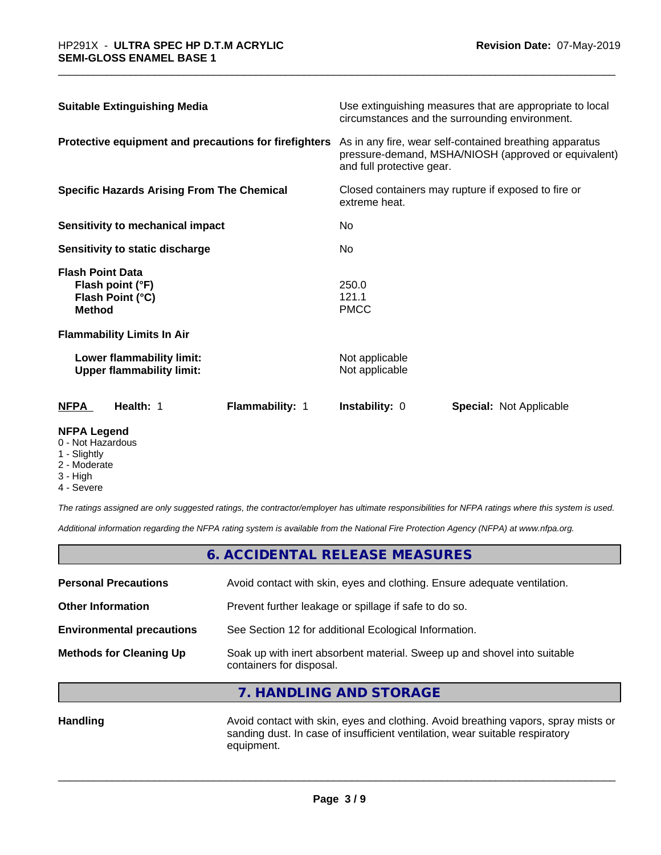| Health: 1<br>Flammability: 1<br>NFPA                                             | <b>Instability: 0</b>                                                                                                                        | <b>Special: Not Applicable</b> |  |
|----------------------------------------------------------------------------------|----------------------------------------------------------------------------------------------------------------------------------------------|--------------------------------|--|
| Lower flammability limit:<br><b>Upper flammability limit:</b>                    | Not applicable<br>Not applicable                                                                                                             |                                |  |
| <b>Flammability Limits In Air</b>                                                |                                                                                                                                              |                                |  |
| <b>Flash Point Data</b><br>Flash point (°F)<br>Flash Point (°C)<br><b>Method</b> | 250.0<br>121.1<br><b>PMCC</b>                                                                                                                |                                |  |
| Sensitivity to static discharge                                                  | No.                                                                                                                                          |                                |  |
| Sensitivity to mechanical impact                                                 | No                                                                                                                                           |                                |  |
| <b>Specific Hazards Arising From The Chemical</b>                                | Closed containers may rupture if exposed to fire or<br>extreme heat.                                                                         |                                |  |
| Protective equipment and precautions for firefighters                            | As in any fire, wear self-contained breathing apparatus<br>pressure-demand, MSHA/NIOSH (approved or equivalent)<br>and full protective gear. |                                |  |
| <b>Suitable Extinguishing Media</b>                                              | Use extinguishing measures that are appropriate to local<br>circumstances and the surrounding environment.                                   |                                |  |

#### **NFPA Legend**

- 0 Not Hazardous
- 1 Slightly
- 2 Moderate
- 3 High
- 4 Severe

*The ratings assigned are only suggested ratings, the contractor/employer has ultimate responsibilities for NFPA ratings where this system is used.*

*Additional information regarding the NFPA rating system is available from the National Fire Protection Agency (NFPA) at www.nfpa.org.*

| 6. ACCIDENTAL RELEASE MEASURES   |                                                                                                      |  |
|----------------------------------|------------------------------------------------------------------------------------------------------|--|
| <b>Personal Precautions</b>      | Avoid contact with skin, eyes and clothing. Ensure adequate ventilation.                             |  |
| <b>Other Information</b>         | Prevent further leakage or spillage if safe to do so.                                                |  |
| <b>Environmental precautions</b> | See Section 12 for additional Ecological Information.                                                |  |
| <b>Methods for Cleaning Up</b>   | Soak up with inert absorbent material. Sweep up and shovel into suitable<br>containers for disposal. |  |

**7. HANDLING AND STORAGE**

Handling **Handling** Avoid contact with skin, eyes and clothing. Avoid breathing vapors, spray mists or sanding dust. In case of insufficient ventilation, wear suitable respiratory equipment.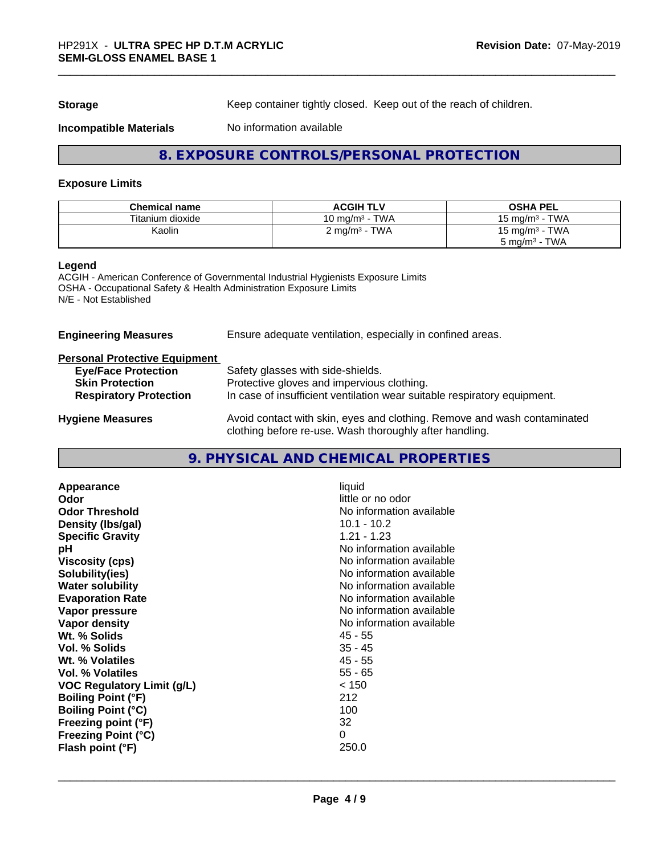**Storage** Keep container tightly closed. Keep out of the reach of children.

#### **Incompatible Materials** No information available

## **8. EXPOSURE CONTROLS/PERSONAL PROTECTION**

#### **Exposure Limits**

| <b>Chemical name</b> | <b>ACGIH TLV</b>                           | <b>OSHA PEL</b>                       |
|----------------------|--------------------------------------------|---------------------------------------|
| Titanium dioxide     | <b>TWA</b><br>10 mg/m $^3$ -               | <b>TWA</b><br>15 mg/m $3$             |
| Kaolin               | TWA<br>$\angle$ mg/m <sup>3</sup> - $\sim$ | · TWA<br>15 mg/m <sup>3</sup> $\cdot$ |
|                      |                                            | TWA<br>5 mg/m <sup>3</sup> -          |

#### **Legend**

ACGIH - American Conference of Governmental Industrial Hygienists Exposure Limits OSHA - Occupational Safety & Health Administration Exposure Limits N/E - Not Established

| <b>Engineering Measures</b>          | Ensure adequate ventilation, especially in confined areas.                                                                          |  |  |
|--------------------------------------|-------------------------------------------------------------------------------------------------------------------------------------|--|--|
| <b>Personal Protective Equipment</b> |                                                                                                                                     |  |  |
| <b>Eye/Face Protection</b>           | Safety glasses with side-shields.                                                                                                   |  |  |
| <b>Skin Protection</b>               | Protective gloves and impervious clothing.                                                                                          |  |  |
| <b>Respiratory Protection</b>        | In case of insufficient ventilation wear suitable respiratory equipment.                                                            |  |  |
| <b>Hygiene Measures</b>              | Avoid contact with skin, eyes and clothing. Remove and wash contaminated<br>clothing before re-use. Wash thoroughly after handling. |  |  |

# **9. PHYSICAL AND CHEMICAL PROPERTIES**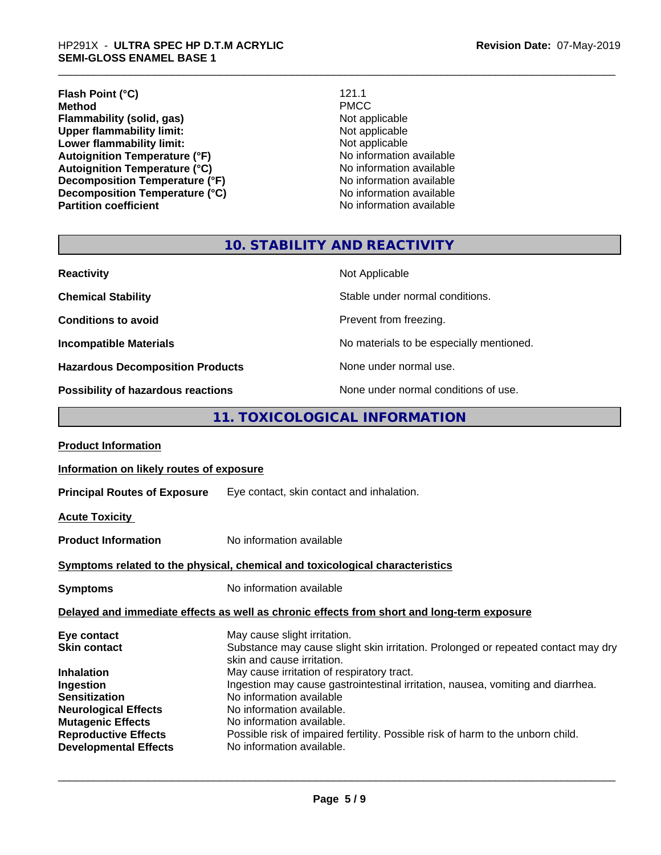# \_\_\_\_\_\_\_\_\_\_\_\_\_\_\_\_\_\_\_\_\_\_\_\_\_\_\_\_\_\_\_\_\_\_\_\_\_\_\_\_\_\_\_\_\_\_\_\_\_\_\_\_\_\_\_\_\_\_\_\_\_\_\_\_\_\_\_\_\_\_\_\_\_\_\_\_\_\_\_\_\_\_\_\_\_\_\_\_\_\_\_\_\_ HP291X - **ULTRA SPEC HP D.T.M ACRYLIC SEMI-GLOSS ENAMEL BASE 1**

Autoignition Temperature (°F)<br>
Autoignition Temperature (°C)<br>
No information available **Autoignition Temperature (°C)**<br> **Decomposition Temperature (°F)** No information available **Decomposition Temperature (°F)**<br> **Decomposition Temperature (°C)**<br>
No information available **Decomposition Temperature (°C) Partition coefficient Contract Contract Contract Contract Contract Contract Contract Contract Contract Contract Contract Contract Contract Contract Contract Contract Contract Contract Contract Contract Contract Contract** 

**Lower flammability limit:**<br> **Autoignition Temperature (°F)**<br>
Mo information available

# **10. STABILITY AND REACTIVITY**

| <b>Reactivity</b>                       | Not Applicable                           |
|-----------------------------------------|------------------------------------------|
| <b>Chemical Stability</b>               | Stable under normal conditions.          |
| <b>Conditions to avoid</b>              | Prevent from freezing.                   |
| <b>Incompatible Materials</b>           | No materials to be especially mentioned. |
| <b>Hazardous Decomposition Products</b> | None under normal use.                   |
| Possibility of hazardous reactions      | None under normal conditions of use.     |

# **11. TOXICOLOGICAL INFORMATION**

| <b>Product Information</b>                                                                                                                              |                                                                                                                                                                                                                                                                                                                                                                        |  |  |
|---------------------------------------------------------------------------------------------------------------------------------------------------------|------------------------------------------------------------------------------------------------------------------------------------------------------------------------------------------------------------------------------------------------------------------------------------------------------------------------------------------------------------------------|--|--|
| Information on likely routes of exposure                                                                                                                |                                                                                                                                                                                                                                                                                                                                                                        |  |  |
| <b>Principal Routes of Exposure</b> Eye contact, skin contact and inhalation.                                                                           |                                                                                                                                                                                                                                                                                                                                                                        |  |  |
| <b>Acute Toxicity</b>                                                                                                                                   |                                                                                                                                                                                                                                                                                                                                                                        |  |  |
| <b>Product Information</b>                                                                                                                              | No information available                                                                                                                                                                                                                                                                                                                                               |  |  |
|                                                                                                                                                         | Symptoms related to the physical, chemical and toxicological characteristics                                                                                                                                                                                                                                                                                           |  |  |
| <b>Symptoms</b>                                                                                                                                         | No information available                                                                                                                                                                                                                                                                                                                                               |  |  |
|                                                                                                                                                         | Delayed and immediate effects as well as chronic effects from short and long-term exposure                                                                                                                                                                                                                                                                             |  |  |
| Eye contact<br><b>Skin contact</b><br><b>Inhalation</b><br>Ingestion<br><b>Sensitization</b><br><b>Neurological Effects</b><br><b>Mutagenic Effects</b> | May cause slight irritation.<br>Substance may cause slight skin irritation. Prolonged or repeated contact may dry<br>skin and cause irritation.<br>May cause irritation of respiratory tract.<br>Ingestion may cause gastrointestinal irritation, nausea, vomiting and diarrhea.<br>No information available<br>No information available.<br>No information available. |  |  |
| <b>Reproductive Effects</b><br><b>Developmental Effects</b>                                                                                             | Possible risk of impaired fertility. Possible risk of harm to the unborn child.<br>No information available.                                                                                                                                                                                                                                                           |  |  |
|                                                                                                                                                         |                                                                                                                                                                                                                                                                                                                                                                        |  |  |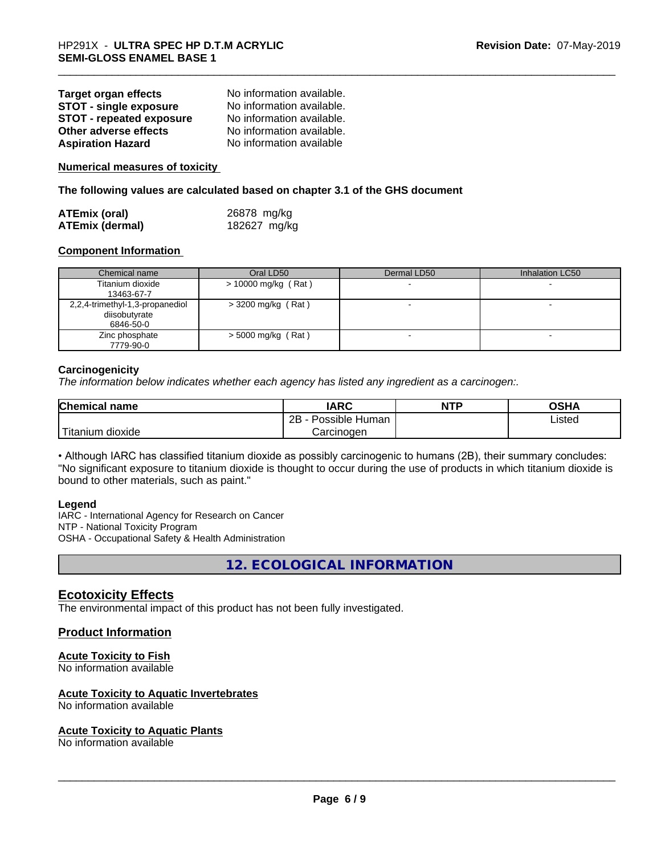| <b>Target organ effects</b>     | No information available. |
|---------------------------------|---------------------------|
| <b>STOT - single exposure</b>   | No information available. |
| <b>STOT - repeated exposure</b> | No information available. |
| Other adverse effects           | No information available. |
| <b>Aspiration Hazard</b>        | No information available  |

**Numerical measures of toxicity**

**The following values are calculated based on chapter 3.1 of the GHS document**

| <b>ATEmix (oral)</b>   | 26878 mg/kg  |  |
|------------------------|--------------|--|
| <b>ATEmix (dermal)</b> | 182627 mg/kg |  |

#### **Component Information**

| Chemical name                                                 | Oral LD50            | Dermal LD50 | Inhalation LC50 |
|---------------------------------------------------------------|----------------------|-------------|-----------------|
| Titanium dioxide<br>13463-67-7                                | > 10000 mg/kg (Rat)  |             |                 |
| 2,2,4-trimethyl-1,3-propanediol<br>diisobutyrate<br>6846-50-0 | $>$ 3200 mg/kg (Rat) |             |                 |
| Zinc phosphate<br>7779-90-0                                   | $>$ 5000 mg/kg (Rat) |             |                 |

#### **Carcinogenicity**

*The information below indicateswhether each agency has listed any ingredient as a carcinogen:.*

| <b>Chemical name</b>  | <b>IARC</b>          | <b>NTP</b> | <b>OSHA</b> |
|-----------------------|----------------------|------------|-------------|
|                       | 2B<br>Possible Human |            | Listed      |
| Titanium<br>n dioxide | Carcinogen           |            |             |

• Although IARC has classified titanium dioxide as possibly carcinogenic to humans (2B), their summary concludes: "No significant exposure to titanium dioxide is thought to occur during the use of products in which titanium dioxide is bound to other materials, such as paint."

#### **Legend**

IARC - International Agency for Research on Cancer NTP - National Toxicity Program OSHA - Occupational Safety & Health Administration

**12. ECOLOGICAL INFORMATION**

### **Ecotoxicity Effects**

The environmental impact of this product has not been fully investigated.

#### **Product Information**

#### **Acute Toxicity to Fish**

No information available

#### **Acute Toxicity to Aquatic Invertebrates**

No information available

#### **Acute Toxicity to Aquatic Plants**

No information available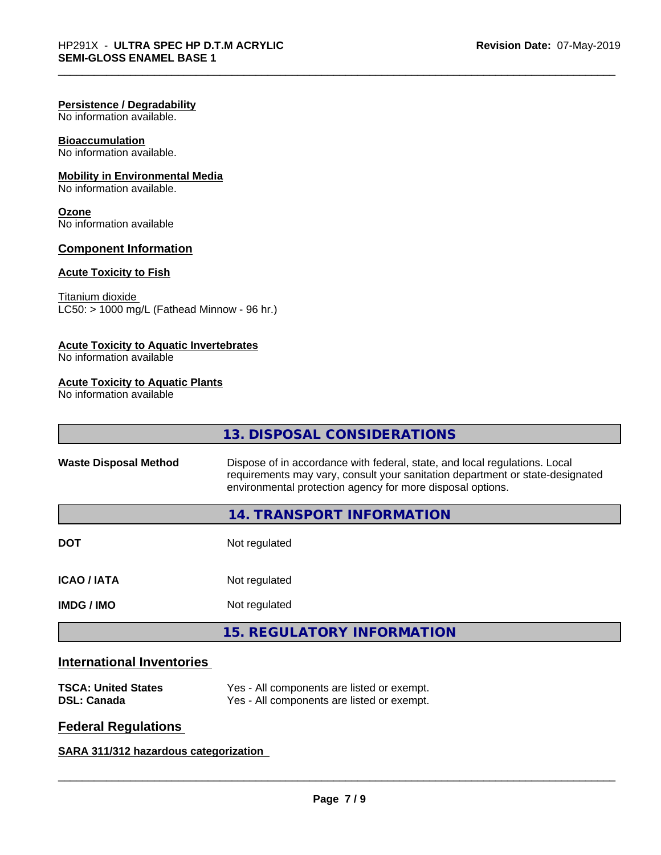#### **Persistence / Degradability**

No information available.

# **Bioaccumulation**

No information available.

### **Mobility in Environmental Media**

No information available.

### **Ozone**

No information available

#### **Component Information**

#### **Acute Toxicity to Fish**

Titanium dioxide  $LC50: > 1000$  mg/L (Fathead Minnow - 96 hr.)

#### **Acute Toxicity to Aquatic Invertebrates**

No information available

#### **Acute Toxicity to Aquatic Plants**

No information available

|                              | 13. DISPOSAL CONSIDERATIONS                                                                                                                                                                                               |
|------------------------------|---------------------------------------------------------------------------------------------------------------------------------------------------------------------------------------------------------------------------|
| <b>Waste Disposal Method</b> | Dispose of in accordance with federal, state, and local regulations. Local<br>requirements may vary, consult your sanitation department or state-designated<br>environmental protection agency for more disposal options. |
|                              | 14. TRANSPORT INFORMATION                                                                                                                                                                                                 |
| <b>DOT</b>                   | Not regulated                                                                                                                                                                                                             |
| <b>ICAO / IATA</b>           | Not regulated                                                                                                                                                                                                             |
| <b>IMDG/IMO</b>              | Not regulated                                                                                                                                                                                                             |
|                              | <b>15. REGULATORY INFORMATION</b>                                                                                                                                                                                         |

# **International Inventories**

| <b>TSCA: United States</b> | Yes - All components are listed or exempt. |
|----------------------------|--------------------------------------------|
| <b>DSL: Canada</b>         | Yes - All components are listed or exempt. |

# **Federal Regulations**

**SARA 311/312 hazardous categorization**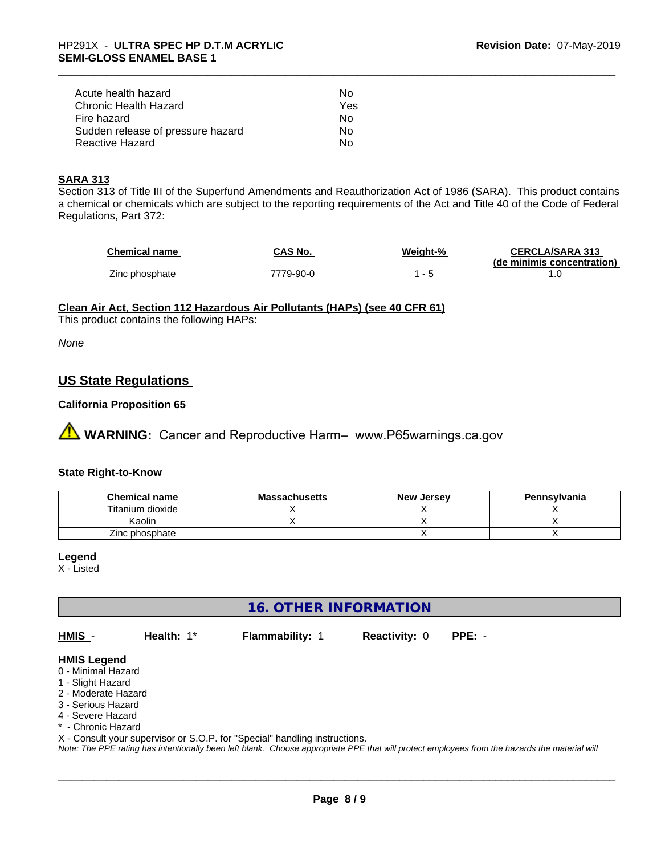| Acute health hazard               | Nο  |
|-----------------------------------|-----|
| Chronic Health Hazard             | Yes |
| Fire hazard                       | Nο  |
| Sudden release of pressure hazard | Nο  |
| Reactive Hazard                   | N٥  |

#### **SARA 313**

Section 313 of Title III of the Superfund Amendments and Reauthorization Act of 1986 (SARA). This product contains a chemical or chemicals which are subject to the reporting requirements of the Act and Title 40 of the Code of Federal Regulations, Part 372:

| <b>Chemical name</b> | <b>CAS No.</b> | Weight-% | <b>CERCLA/SARA 313</b>     |
|----------------------|----------------|----------|----------------------------|
|                      |                |          | (de minimis concentration) |
| Zinc phosphate       | 7779-90-0      |          |                            |

### **Clean Air Act,Section 112 Hazardous Air Pollutants (HAPs) (see 40 CFR 61)**

This product contains the following HAPs:

*None*

## **US State Regulations**

#### **California Proposition 65**

**A** WARNING: Cancer and Reproductive Harm– www.P65warnings.ca.gov

#### **State Right-to-Know**

| <b>Chemical name</b> | <b>Massachusetts</b> | <b>New Jersey</b> | Pennsylvania |
|----------------------|----------------------|-------------------|--------------|
| Titanium dioxide     |                      |                   |              |
| Kaolin               |                      |                   |              |
| Zinc phosphate       |                      |                   |              |

#### **Legend**

X - Listed

# **16. OTHER INFORMATION**

**HMIS** - **Health:** 1\* **Flammability:** 1 **Reactivity:** 0 **PPE:** -

#### **HMIS Legend**

- 0 Minimal Hazard
- 1 Slight Hazard
- 2 Moderate Hazard
- 3 Serious Hazard
- 4 Severe Hazard
- \* Chronic Hazard

X - Consult your supervisor or S.O.P. for "Special" handling instructions.

*Note: The PPE rating has intentionally been left blank. Choose appropriate PPE that will protect employees from the hazards the material will*